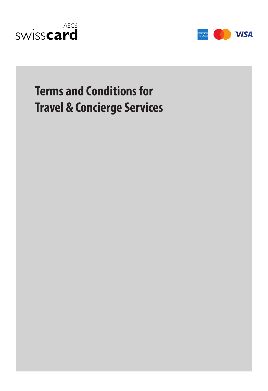



# **Terms and Conditions for Travel & Concierge Services**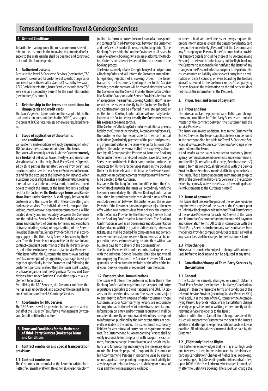# **Terms and Conditions Travel & Concierge Services**

#### **A. General Conditions**

To facilitate reading, only the masculine form is used to refer to the customer in the following document; all references to the male gender shall be deemed and construed to include the female gender.

## **1. Authorized persons**

Access to the Travel & Concierge Services (hereinafter "T&C Services") is reserved for customers of specific charge cards and credit cards (hereinafter "Card(s)") issued by Swisscard AECS GmbH (hereinafter ... Issuer") which include these T&C Services as a secondary benefit to the card relationship (hereinafter "Customer").

#### **2. Relationship to the terms and conditions for charge cards and credit cards**

The Issuer's general terms and conditions applicable to the card product in question (hereinafter "GTCs") also apply to the present T&C Services unless otherwise regulated herein.

#### **3. Scope of application of these terms and conditions**

Various terms and conditions will apply depending on which T&C Services the Customer obtains from the Issuer. The Issuer will normally act vis-à-vis the Customer **merely as a broker** of individual travel, lifestyle, and similar services (hereinafter collectively "Third-Party Services") provided by third parties (hereinafter "Service Providers") and conclude contracts with these Service Providers in the name of and for the account of the Customer, for instance when a Customer books a flight, makes a hotel reservation, reserves a rental car or a table in a restaurant, or orders concert tickets through the Issuer, or the Issuer brokers a package deal for the Customer. The **Brokerage Terms and Conditions** listed under **Section B** shall apply between the Customer and the Issuer for all of these consulting and brokerage services. The individual travel, transportation, lodging, rental, or travel organization contract (etc.), will be created directly and immediately between the Customer and the individual Service Provider. The individual standard terms and conditions of business (or terms and conditions of transportation, rental, or organization) of the Service Providers (hereinafter "Service Provider STCs") shall accordingly apply to the Third-Party Services brokered by the Issuer. Thus the Issuer is not responsible for the careful and contract-compliant performance of the Third-Party Servic es, but rather exclusively the particular Service Provider.

If the Issuer offers the Customer the Issuer's own package deal (as an exception) by organizing a package travel put together specifically for the Customer and following the Customer's personal wishes, then the Issuer itself is acting as a travel organizer and the **Organizer Terms and Conditions** listed under **Section C** shall then apply as a sup plement to Section B.

By utilizing the T&C Services, the Customer confirms that he has read, understood, and accepted the present Terms and Conditions for Travel & Concierge Services.

#### **4. Coordinator for T&C Services**

The T&C Services will be provided in the name of and on behalf of the Issuer by Ten Lifestyle Management Switzerland GmbH until further notice

## **B. Terms and Conditions for the Brokerage of Third- Party Services (Brokerage Terms and Conditions**

**1. Contract conclusion and special transportation provisions**

#### **1.1 Contract conclusion**

.

The Customer can commission the Issuer in written form (letter, fax, email), oral form (telephone), or electronic form

(online platform) to broker the conclusion of a corresponding contract for Third-Party Services between the Customer and the Service Provider (hereinafter "Booking Order"). The Booking Order is binding on the Customer in all cases. In ing Order is considered issued at the conclusion of the booking process.

The Issuer expressly retains the right to reject or not perform a Booking Order and will inform the Customer immediately regarding rejection of a Booking Order. If the Issuer transmits the Customer's Booking Order to the Service Provider, then the contract will be created directly between the Customer and the Service Provider (hereinafter .. Definitive Booking") as soon as the Service Provider's declaration of acceptance (hereinafter ..Booking Confirmation") is received by the Issuer or directly by the Customer. The Booking Confirmation can be effected in oral (telephonic) or written form. Booking Confirmations will normally be delivered to the Customer **by email; the Customer states his express consent to this.**

If the Customer's Booking Order includes additional persons besides the Customer (hereinafter "Accompanying Persons"), the Customer shall be responsible for their contractual obligations (particularly payment of the price and process ing of personal data) in the same way as for his own obligations. The Customer warrants that he is expressly authorized by all Accompanying Persons to issue the Booking Order under the Terms and Conditions for Travel & Concierge Services set forth herein in their name and to conclude the contracts for Third-Party Services stated in the Booking Order for their benefit and in their name. The Issuer's communications regarding Accompanying Persons will normally be directed to the Customer.

Insofar as the Booking Confirmation differs from the Customer's Booking Order, the Issuer will accordingly notify the Customer immediately. The different Booking Confirmation shall then be simultaneously considered a new offer to conclude a contract between the Customer and the Service Provider. If the Customer does not expressly reject the new offer within two business days from delivery, the contract with the Service Provider for the Third-Party Services listed in the Booking Confirmation is concluded. The Booking Confirmation as well as all documents and documentation delivered along with it (e.g., rail or airline tickets, admission tickets, etc.) shall be checked for completeness and correct ness when the Customer receives them. Errors shall be reported to the Issuer immediately, no later than within two business days from delivery of the documentation. The Service Provider STCs and the contractual agreements with the individual Service Providers shall also apply to all

Accompanying Persons. The Service Provider STCs can generally be taken from the website or the offer of the individual Service Provider or requested from the latter.

### **1.2 Passport, visas, immunizations**

The Issuer will inform the Customer no later than in the Booking Confirmation regarding the passport and entry regulations applicable to Swiss nationals and EU/EFTA citizens for the selected destination. The Issuer is not subject to any duty to inform citizens of other countries; these Customers and/or Accompanying Persons are responsible for inquiring as to the relevant entry/transit regulations. Information on entry and/or transit regulations shall be considered correctly communicated when they correspond to information published by the competent offices or generally available to the public. The Issuer cannot assume any liability for any refusal of entry due to requirements not met. The Customer and his Accompanying Persons shall be solely responsible for compliance with passport, visa, cus toms, foreign exchange, immunization, and health regulations and for procuring and carrying the necessary documents. The Issuer is prepared to support the Customer or his Accompanying Persons in procuring visas by express request against corresponding compensation. Liability for any delayed or defective issuance or delivery or refusal of visas and their consequences is excluded.

In order to book air travel, the Issuer always requires the precise information as listed in the passport or identity card (hereinafter collectively "Passport") of the Customer and any Accompanying Persons. If the Customer had to provide his Passport details (including those of his Accompanying Persons) to the Issuer in order to carry out the flight booking, the Customer is responsible for notifying the Issuer of any changes in the Passport information prior to departure. The Issuer assumes no liability whatsoever if entry into a destination or transit country, or even boarding the booked aircraft is denied to the Customer or his Accompanying Persons because the information on the airline ticket does not match the information in the Passport.

### **2. Prices, fees, and terms of payment**

#### **2.1 Prices and fees**

The prices as well as the payment, cancellation, and change terms and conditions for Third-Party Services are a subject matter of the contract between the Customer and the Service Providers.

The Issuer can invoice additional fees to the Customer for its T&C Services. The Issuer's applicable fees can be found<br>in the corresponding fee table for Travel & Concierge Services at www.credit-suisse.com/bonviva/concierge or requested from the Issuer.

If and insofar as the Issuer is entitled to customary (travel agency) commissions, reimbursements, super commissions, and the like (hereinafter collectively "Reimbursements") arising from its contractual relationship with the Service Provider, these Reimbursements shall belong exclusively to the Issuer. These Reimbursements may amount to up to 10% of the price of the Third-Party Service and the Customer hereby expressly waives the release or forwarding of such Reimbursements to the Customer himself.

#### **2.2 Terms of payment**

The Issuer shall disclose the prices of the Service Providers together with any fees of the Issuer to the Customer prior to Definitive Booking for each individual Third-Party Service of the Service Provider or for each T&C Service of the Issuer and inform the Customer regarding the material payment and cancellation terms. All costs in connection with the Third-Party Services (including any card surcharges from the Service Provider, compulsory duties or taxes) as well as any Issuer fees shall be charged to the Customer's Card.

## **2.3 Price changes**

Prices shall in principle be subject to change without notice until Definitive Booking and can be adjusted at any time.

#### **3. Cancellation/change of Third-Party Services by the Customer**

**3.1 General If the Customer cancels, changes, or cannot obtain a** Third-Party Service (hereinafter collectively "Cancellation/ Change"), then the respective terms and conditions of the relevant Service Provider (including Service Provider STCs) shall apply. It is the duty of the Customer or the Accompanying Persons to provide notices of any Cancellation/ Change as early as possible and in writing, either directly to the relevant Service Provider or to the Issuer.

When a notification of Cancellation/Change is received, the Issuer will support the Customer to the best of the Issuer's abilities and attempt to keep the additional costs as low as possible. All additional costs incurred shall be paid by the Customer.

### **3.2 "Flight only" airline flights**

The Customer acknowledges that he may incur high costs garding Cancellation/ Change of flights (e.g., rebooking, name changes, etc.). Depending on the airline and rate class, up to 100% of the travel price may be charged immediately after the Definitive Booking. The Issuer will charge the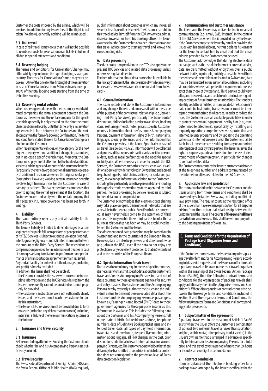Customer the costs imposed by the airline, which will be invoiced in addition to any Issuer fees. If the flight is not taken (no-show), generally nothing will be reimbursed.

#### **3.3 Rail travel**

In case of rail travel, it may occur that it will not be possible to reimburse costs for reservations/rail tickets in full or at all due to special rate terms and conditions.

#### **3.4 Reserving lodging**

The terms and conditions for Cancellation/Change may differ widely depending on the type of lodging, season, and country. The costs for Cancellation/Change may vary between 100% of the price for the first night of the reservation in case of Cancellation less than 24 hours in advance up to 100% of the total lodging costs starting from the time of Definitive Booking.

#### **3.5 Reserving rental vehicles**

When reserving rental cars with the customary worldwide rental companies, the rental agreement between the Customer as the renter and the rental company for the specific vehicle generally is only created on the date the rental object is obtained locally. Until that time, only a reservation agreement is in force between the Customer and the rental company in the form of a Booking Confirmation. The terms and conditions stated therein for Cancellation/Change are binding on the Customer.

When reserving rental vehicles, only a category (or the next higher category without additional charge) is guaranteed, but in no case a specific vehicle type. Moreover, the Cus tomer must pay careful attention to the booked additional services and the type and amount of the insurance benefits. Particularly the very divergent optional insurance coverages at additional cost can far exceed the original rental price (base price). However, waiving certain insurance benefits involves high financial risks for the Customer in case of damage or accident. The Issuer therefore recommends that prior to signing the rental agreement at the location, the Customer ensure and verify with the rental company that all necessary insurance coverage has been set forth in writing.

#### **4. Liability**

The Issuer entirely rejects any and all liability for the Third-Party Services.

The Issuer's liability is limited to direct damages as a consequence of culpable failure to perform or poor performance of its T&C Services - subject to a serious violation (wrongful intent, gross negligence) - and is limited in amount to twice the amount of the Third-Party Service. The restrictions on compensation provided for in international treaties in case of damages arising from failure to perform or poor performance of a transportation agreement remain reserved.

Any and all liability for indirect or reflex damages (including lost profit) is hereby excluded.

In addition, the Issuer shall not be liable if:

- the Customer provides the Issuer with incorrect or incomplete information and the T&C Services desired from the Issuer consequently cannot be provided or cannot properly be provided,
- the Customer's instructions were not sufficiently clearly issued and the Issuer cannot reach the Customer to clarify his instructions,
- the Issuer's T&C Services cannot be provided due to force majeure (including any delays that may occur) including, inter alia, a failure of the telecommunications systems or the Internet.

#### **5. Insurance and travel security**

#### **5.1 Insurance**

Before concluding a Definitive Booking, the Customer should check whether he and his Accompanying Persons are sufficiently insured.

#### **5.2 Travel security**

The Swiss Federal Department of Foreign Affairs (EDA) and the Swiss Federal Office of Public Health (BAG) regularly publish information about countries in which any increased security, health, or other risks exist. The Customer can obtain this travel advice himself from the EDA (www.eda.admin. ch/reisehinweise) or from his booking office. The Issuer assumes that the Customer has obtained information about this travel advice prior to starting travel and knows the corresponding risks.

#### **6. Data processing**

The data protection provisions in the GTCs also apply to the present T&C Services and related data processing unless otherwise regulated herein.

Further information about data processing is available in the Privacy Statement, the latest version of which can always be viewed at www.swisscard.ch or requested from Swisscard.»

#### **6.1 General information**

The Issuer records and stores the Customer's information and any changes thereto and processes it within the scope of the purpose of the contractual relationship (e.g., brokering Third-Party Services), particularly the travel route/ destination, airline (including precise travel times, booking class, seat assignment), hotel, prices, specific Customer requests, information about the Customer's Accompanying Persons, payment information, date of birth, nationality, language, special preferences, and other information that the Customer provides to the Issuer. Specifically in case of air travel (see below, No. 6.2), information will be collected and processed that represents particularly sensitive personal data, such as meal preferences or the need for special mobility aids. Where necessary in order to provide the T&C Services, the Customer authorizes the Issuer as well as additional Service Providers involved in Switzerland and abroad (e.g., travel agents, hotel chains, airlines, car rental compa nies), to exchange information relating to the Customer including the particularly sensitive personal data - including through electronic reservation systems operated by third parties. The data processing by Service Providers is subject to their data protection provisions.

The Customer acknowledges that electronic data sharing may take place on open, transnational networks that are accessible to the general public. Even if such data is encrypted, it may nevertheless come to the attention of third parties. This may enable these third parties to infer that a business relationship has been or may be established between the Customer and the Issuer.

The aforementioned data processing may be carried out in Switzerland and in the countries of the European Union. However, data can also be processed and stored worldwide (e.g., also in the USA), even if the data do not enjoy any protection or any equivalent protection to that in Switzerland and in the countries of the European Union.

#### **6.2 Special information for air travel**

Due to legal or regulatory requirements of specific countries, it is necessary to transmit specific data about the Customer's travel and/ or his Accompanying Persons into and out of these countries to these government agencies for security and entry reasons. The Customer and the Accompanying Persons hereby expressly authorize the Issuer and the individual airline to transmit person-related data about the Customer and his Accompanying Person as passengers, known as "Passenger Name Record (PNR)" data to these government agencies for these purposes insofar as this information is available. This includes the following data about the Customer and his Accompanying Persons: full name, date of birth, full residence address, telephone numbers, data of Definitive Booking/ticket issue and intended travel date, all types of payment information, travel status and travel route, frequent flyer number, information about luggage, all PNR changes in the past, prior destinations, additional relevant information about Accompanying Persons, etc. The Customer acknowledges that these tion does not correspond to the protection level of Swiss data protection legislation.

#### **7. Communication and customer assistance**

The Client and the Issuer may utilize electronic means of communication (e.g. email, SMS, Internet) in the context of the T&C Services where this is provided for by the Issuer. If the Customer contacts the Issuer by email or provides the Issuer with his email address, he thus declares his consent for the Issuer to contact him by email and that the email address provided by the Customer can be used.

The Customer acknowledges that during electronic data exchange, such as the use of the Internet or an email service, data are transmitted without encryption over a public network that is, in principle, publicly accessible. Even if both the sender and the recipient are located in Switzerland, data may be transmitted across national boundaries, including via countries whose data protection requirements are less strict than those of Switzerland. Third parties could view, alter, and misuse data, and could reach conclusions regarding existing or future business relationships. The sender's identity could be simulated or manipulated. The Customer's data could be lost during transmission or could be intercepted by unauthorized third parties. In order to reduce the risks, the Customer uses all available possibilities in order<br>to protect the terminal equipment used by him (e.g., computer, mobile telephone), specifically by installing and regularly updating comprehensive virus protection and internet security programs and by updating the operating systems and internet browsers used. The Customer shall be liable for all consequences resulting from any unauthorized interception of data by third parties. The Issuer reserves the right to require separate authorization for the use of electronic means of communication, in particular for changes to contract-related data.

The Customer may contact the Issuer's customer assistance at the telephone number and address communicated on the Internet for all issues related to the T&C Services.

#### **8. Applicable law and jurisdiction**

The contractual relationship between the Customer and the Issuer arising from these terms and conditions shall be governed by substantive Swiss law, excluding conflict-oflaws provisions. The regular courts at the registered office of the Issuer shall have exclusive jurisdiction for all disputes arising from the contractual relationship between the Customer and the Issuer. **The courts of Horgen shall have jurisdiction and venue.** This shall be without prejudice to the binding provisions of Swiss law.

#### **C. Terms and Conditions for the Organization of Package Travel (Organizer Terms and Conditions)**

If the Customer commissions the Issuer to organize a package travel for him and/or his Accompanying Persons accord ing to his special requests and the Issuer can offer him such a package travel in its own name as a travel organizer within the meaning of the Swiss Federal Act on Package Travel (PauRG), then the following contract terms and conditions for the organization of package travels shall apply additionally (hereinafter "Organizer Terms and Conditions"). Where discrepancies or contradictions arise between the Brokerage Terms and Conditions included in Section B and the Organizer Terms and Conditions, the following Organizer Terms and Conditions shall correspondingly take precedence.

#### **1. Subject matter of the agreement**

A package travel within the meaning of Article 1 PauRG exists when the Issuer offers the Customer a combination of at least two material travel services (transportation, lodging, vehicle rental, other primary tourist service) in the Issuer's own name that is arranged in advance or specifi cally for him and/or his Accompanying Persons for a total price, and this travel covers a period of more than 24 hours or includes an overnight accommodation.

**2. Contract conclusion**<br>Upon acceptance of the telephone booking order for a package travel arranged by the Issuer specifically for the